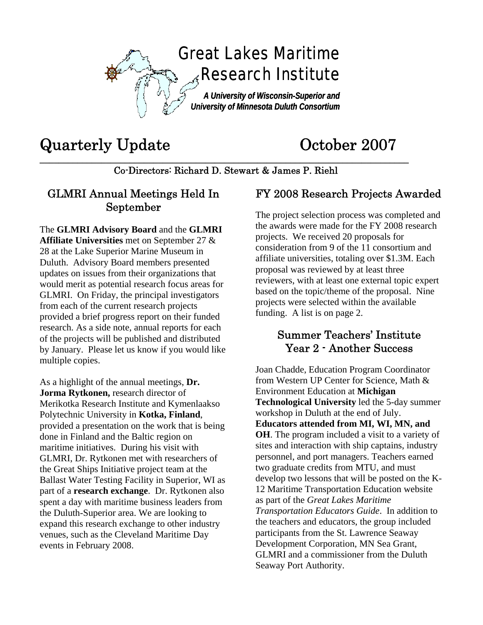

# Quarterly Update October 2007

**\_\_\_\_\_\_\_\_\_\_\_\_\_\_\_\_\_\_\_\_\_\_\_\_\_\_\_\_\_\_\_\_\_\_\_\_\_\_\_\_\_\_\_\_\_\_\_\_\_\_\_\_\_\_\_\_\_\_\_\_\_\_\_\_\_\_\_\_\_\_\_\_\_\_\_\_\_\_**  Co-Directors: Richard D. Stewart & James P. Riehl

#### GLMRI Annual Meetings Held In September

The **GLMRI Advisory Board** and the **GLMRI Affiliate Universities** met on September 27 & 28 at the Lake Superior Marine Museum in Duluth. Advisory Board members presented updates on issues from their organizations that would merit as potential research focus areas for GLMRI. On Friday, the principal investigators from each of the current research projects provided a brief progress report on their funded research. As a side note, annual reports for each of the projects will be published and distributed by January. Please let us know if you would like multiple copies.

As a highlight of the annual meetings, **Dr. Jorma Rytkonen,** research director of Merikotka Research Institute and Kymenlaakso Polytechnic University in **Kotka, Finland**, provided a presentation on the work that is being done in Finland and the Baltic region on maritime initiatives. During his visit with GLMRI, Dr. Rytkonen met with researchers of the Great Ships Initiative project team at the Ballast Water Testing Facility in Superior, WI as part of a **research exchange**. Dr. Rytkonen also spent a day with maritime business leaders from the Duluth-Superior area. We are looking to expand this research exchange to other industry venues, such as the Cleveland Maritime Day events in February 2008.

### FY 2008 Research Projects Awarded

The project selection process was completed and the awards were made for the FY 2008 research projects. We received 20 proposals for consideration from 9 of the 11 consortium and affiliate universities, totaling over \$1.3M. Each proposal was reviewed by at least three reviewers, with at least one external topic expert based on the topic/theme of the proposal. Nine projects were selected within the available funding. A list is on page 2.

#### Summer Teachers' Institute Year 2 - Another Success

Joan Chadde, Education Program Coordinator from Western UP Center for Science, Math & Environment Education at **Michigan Technological University** led the 5-day summer workshop in Duluth at the end of July. **Educators attended from MI, WI, MN, and OH**. The program included a visit to a variety of sites and interaction with ship captains, industry personnel, and port managers. Teachers earned two graduate credits from MTU, and must develop two lessons that will be posted on the K-12 Maritime Transportation Education website as part of the *Great Lakes Maritime Transportation Educators Guide*. In addition to the teachers and educators, the group included participants from the St. Lawrence Seaway Development Corporation, MN Sea Grant, GLMRI and a commissioner from the Duluth Seaway Port Authority.